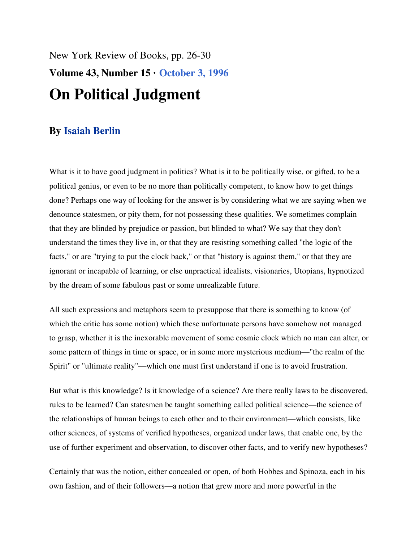## New York Review of Books, pp. 26-30 **Volume 43, Number 15 · October 3, 1996 On Political Judgment**

## **By Isaiah Berlin**

What is it to have good judgment in politics? What is it to be politically wise, or gifted, to be a political genius, or even to be no more than politically competent, to know how to get things done? Perhaps one way of looking for the answer is by considering what we are saying when we denounce statesmen, or pity them, for not possessing these qualities. We sometimes complain that they are blinded by prejudice or passion, but blinded to what? We say that they don't understand the times they live in, or that they are resisting something called "the logic of the facts," or are "trying to put the clock back," or that "history is against them," or that they are ignorant or incapable of learning, or else unpractical idealists, visionaries, Utopians, hypnotized by the dream of some fabulous past or some unrealizable future.

All such expressions and metaphors seem to presuppose that there is something to know (of which the critic has some notion) which these unfortunate persons have somehow not managed to grasp, whether it is the inexorable movement of some cosmic clock which no man can alter, or some pattern of things in time or space, or in some more mysterious medium—"the realm of the Spirit" or "ultimate reality"—which one must first understand if one is to avoid frustration.

But what is this knowledge? Is it knowledge of a science? Are there really laws to be discovered, rules to be learned? Can statesmen be taught something called political science—the science of the relationships of human beings to each other and to their environment—which consists, like other sciences, of systems of verified hypotheses, organized under laws, that enable one, by the use of further experiment and observation, to discover other facts, and to verify new hypotheses?

Certainly that was the notion, either concealed or open, of both Hobbes and Spinoza, each in his own fashion, and of their followers—a notion that grew more and more powerful in the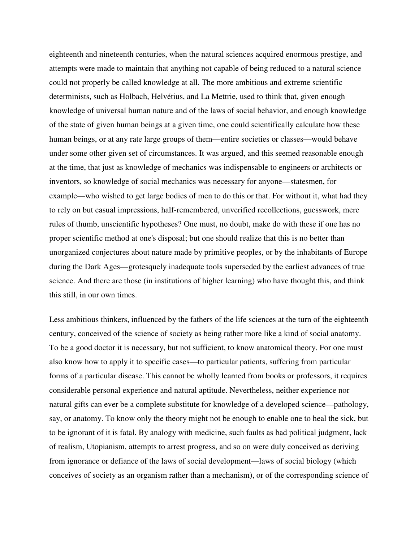eighteenth and nineteenth centuries, when the natural sciences acquired enormous prestige, and attempts were made to maintain that anything not capable of being reduced to a natural science could not properly be called knowledge at all. The more ambitious and extreme scientific determinists, such as Holbach, Helvétius, and La Mettrie, used to think that, given enough knowledge of universal human nature and of the laws of social behavior, and enough knowledge of the state of given human beings at a given time, one could scientifically calculate how these human beings, or at any rate large groups of them—entire societies or classes—would behave under some other given set of circumstances. It was argued, and this seemed reasonable enough at the time, that just as knowledge of mechanics was indispensable to engineers or architects or inventors, so knowledge of social mechanics was necessary for anyone—statesmen, for example—who wished to get large bodies of men to do this or that. For without it, what had they to rely on but casual impressions, half-remembered, unverified recollections, guesswork, mere rules of thumb, unscientific hypotheses? One must, no doubt, make do with these if one has no proper scientific method at one's disposal; but one should realize that this is no better than unorganized conjectures about nature made by primitive peoples, or by the inhabitants of Europe during the Dark Ages—grotesquely inadequate tools superseded by the earliest advances of true science. And there are those (in institutions of higher learning) who have thought this, and think this still, in our own times.

Less ambitious thinkers, influenced by the fathers of the life sciences at the turn of the eighteenth century, conceived of the science of society as being rather more like a kind of social anatomy. To be a good doctor it is necessary, but not sufficient, to know anatomical theory. For one must also know how to apply it to specific cases—to particular patients, suffering from particular forms of a particular disease. This cannot be wholly learned from books or professors, it requires considerable personal experience and natural aptitude. Nevertheless, neither experience nor natural gifts can ever be a complete substitute for knowledge of a developed science—pathology, say, or anatomy. To know only the theory might not be enough to enable one to heal the sick, but to be ignorant of it is fatal. By analogy with medicine, such faults as bad political judgment, lack of realism, Utopianism, attempts to arrest progress, and so on were duly conceived as deriving from ignorance or defiance of the laws of social development—laws of social biology (which conceives of society as an organism rather than a mechanism), or of the corresponding science of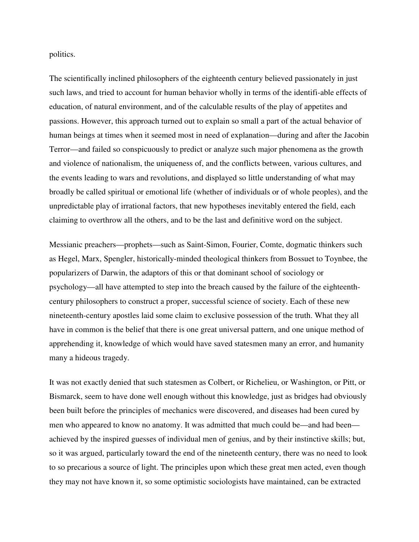politics.

The scientifically inclined philosophers of the eighteenth century believed passionately in just such laws, and tried to account for human behavior wholly in terms of the identifi-able effects of education, of natural environment, and of the calculable results of the play of appetites and passions. However, this approach turned out to explain so small a part of the actual behavior of human beings at times when it seemed most in need of explanation—during and after the Jacobin Terror—and failed so conspicuously to predict or analyze such major phenomena as the growth and violence of nationalism, the uniqueness of, and the conflicts between, various cultures, and the events leading to wars and revolutions, and displayed so little understanding of what may broadly be called spiritual or emotional life (whether of individuals or of whole peoples), and the unpredictable play of irrational factors, that new hypotheses inevitably entered the field, each claiming to overthrow all the others, and to be the last and definitive word on the subject.

Messianic preachers—prophets—such as Saint-Simon, Fourier, Comte, dogmatic thinkers such as Hegel, Marx, Spengler, historically-minded theological thinkers from Bossuet to Toynbee, the popularizers of Darwin, the adaptors of this or that dominant school of sociology or psychology—all have attempted to step into the breach caused by the failure of the eighteenthcentury philosophers to construct a proper, successful science of society. Each of these new nineteenth-century apostles laid some claim to exclusive possession of the truth. What they all have in common is the belief that there is one great universal pattern, and one unique method of apprehending it, knowledge of which would have saved statesmen many an error, and humanity many a hideous tragedy.

It was not exactly denied that such statesmen as Colbert, or Richelieu, or Washington, or Pitt, or Bismarck, seem to have done well enough without this knowledge, just as bridges had obviously been built before the principles of mechanics were discovered, and diseases had been cured by men who appeared to know no anatomy. It was admitted that much could be—and had been achieved by the inspired guesses of individual men of genius, and by their instinctive skills; but, so it was argued, particularly toward the end of the nineteenth century, there was no need to look to so precarious a source of light. The principles upon which these great men acted, even though they may not have known it, so some optimistic sociologists have maintained, can be extracted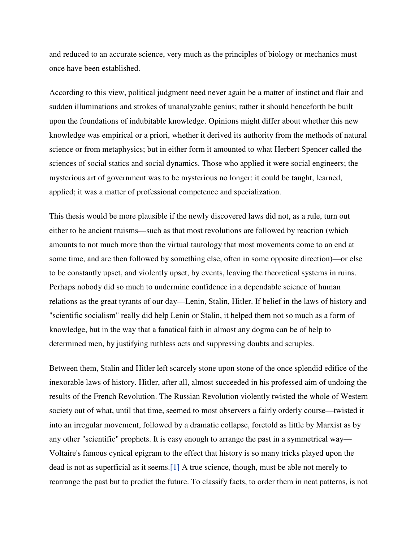and reduced to an accurate science, very much as the principles of biology or mechanics must once have been established.

According to this view, political judgment need never again be a matter of instinct and flair and sudden illuminations and strokes of unanalyzable genius; rather it should henceforth be built upon the foundations of indubitable knowledge. Opinions might differ about whether this new knowledge was empirical or a priori, whether it derived its authority from the methods of natural science or from metaphysics; but in either form it amounted to what Herbert Spencer called the sciences of social statics and social dynamics. Those who applied it were social engineers; the mysterious art of government was to be mysterious no longer: it could be taught, learned, applied; it was a matter of professional competence and specialization.

This thesis would be more plausible if the newly discovered laws did not, as a rule, turn out either to be ancient truisms—such as that most revolutions are followed by reaction (which amounts to not much more than the virtual tautology that most movements come to an end at some time, and are then followed by something else, often in some opposite direction)—or else to be constantly upset, and violently upset, by events, leaving the theoretical systems in ruins. Perhaps nobody did so much to undermine confidence in a dependable science of human relations as the great tyrants of our day—Lenin, Stalin, Hitler. If belief in the laws of history and "scientific socialism" really did help Lenin or Stalin, it helped them not so much as a form of knowledge, but in the way that a fanatical faith in almost any dogma can be of help to determined men, by justifying ruthless acts and suppressing doubts and scruples.

Between them, Stalin and Hitler left scarcely stone upon stone of the once splendid edifice of the inexorable laws of history. Hitler, after all, almost succeeded in his professed aim of undoing the results of the French Revolution. The Russian Revolution violently twisted the whole of Western society out of what, until that time, seemed to most observers a fairly orderly course—twisted it into an irregular movement, followed by a dramatic collapse, foretold as little by Marxist as by any other "scientific" prophets. It is easy enough to arrange the past in a symmetrical way— Voltaire's famous cynical epigram to the effect that history is so many tricks played upon the dead is not as superficial as it seems.[1] A true science, though, must be able not merely to rearrange the past but to predict the future. To classify facts, to order them in neat patterns, is not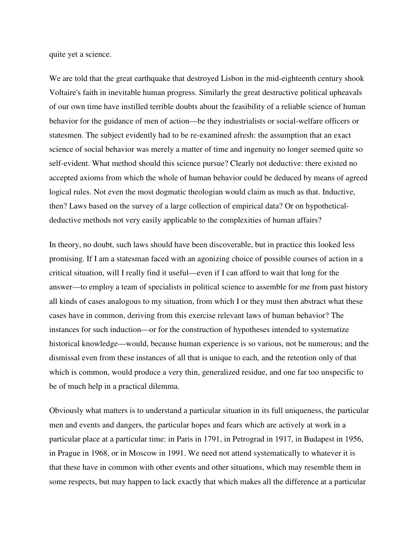quite yet a science.

We are told that the great earthquake that destroyed Lisbon in the mid-eighteenth century shook Voltaire's faith in inevitable human progress. Similarly the great destructive political upheavals of our own time have instilled terrible doubts about the feasibility of a reliable science of human behavior for the guidance of men of action—be they industrialists or social-welfare officers or statesmen. The subject evidently had to be re-examined afresh: the assumption that an exact science of social behavior was merely a matter of time and ingenuity no longer seemed quite so self-evident. What method should this science pursue? Clearly not deductive: there existed no accepted axioms from which the whole of human behavior could be deduced by means of agreed logical rules. Not even the most dogmatic theologian would claim as much as that. Inductive, then? Laws based on the survey of a large collection of empirical data? Or on hypotheticaldeductive methods not very easily applicable to the complexities of human affairs?

In theory, no doubt, such laws should have been discoverable, but in practice this looked less promising. If I am a statesman faced with an agonizing choice of possible courses of action in a critical situation, will I really find it useful—even if I can afford to wait that long for the answer—to employ a team of specialists in political science to assemble for me from past history all kinds of cases analogous to my situation, from which I or they must then abstract what these cases have in common, deriving from this exercise relevant laws of human behavior? The instances for such induction—or for the construction of hypotheses intended to systematize historical knowledge—would, because human experience is so various, not be numerous; and the dismissal even from these instances of all that is unique to each, and the retention only of that which is common, would produce a very thin, generalized residue, and one far too unspecific to be of much help in a practical dilemma.

Obviously what matters is to understand a particular situation in its full uniqueness, the particular men and events and dangers, the particular hopes and fears which are actively at work in a particular place at a particular time: in Paris in 1791, in Petrograd in 1917, in Budapest in 1956, in Prague in 1968, or in Moscow in 1991. We need not attend systematically to whatever it is that these have in common with other events and other situations, which may resemble them in some respects, but may happen to lack exactly that which makes all the difference at a particular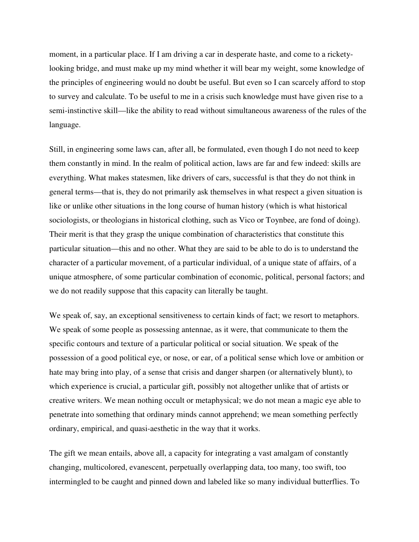moment, in a particular place. If I am driving a car in desperate haste, and come to a ricketylooking bridge, and must make up my mind whether it will bear my weight, some knowledge of the principles of engineering would no doubt be useful. But even so I can scarcely afford to stop to survey and calculate. To be useful to me in a crisis such knowledge must have given rise to a semi-instinctive skill—like the ability to read without simultaneous awareness of the rules of the language.

Still, in engineering some laws can, after all, be formulated, even though I do not need to keep them constantly in mind. In the realm of political action, laws are far and few indeed: skills are everything. What makes statesmen, like drivers of cars, successful is that they do not think in general terms—that is, they do not primarily ask themselves in what respect a given situation is like or unlike other situations in the long course of human history (which is what historical sociologists, or theologians in historical clothing, such as Vico or Toynbee, are fond of doing). Their merit is that they grasp the unique combination of characteristics that constitute this particular situation—this and no other. What they are said to be able to do is to understand the character of a particular movement, of a particular individual, of a unique state of affairs, of a unique atmosphere, of some particular combination of economic, political, personal factors; and we do not readily suppose that this capacity can literally be taught.

We speak of, say, an exceptional sensitiveness to certain kinds of fact; we resort to metaphors. We speak of some people as possessing antennae, as it were, that communicate to them the specific contours and texture of a particular political or social situation. We speak of the possession of a good political eye, or nose, or ear, of a political sense which love or ambition or hate may bring into play, of a sense that crisis and danger sharpen (or alternatively blunt), to which experience is crucial, a particular gift, possibly not altogether unlike that of artists or creative writers. We mean nothing occult or metaphysical; we do not mean a magic eye able to penetrate into something that ordinary minds cannot apprehend; we mean something perfectly ordinary, empirical, and quasi-aesthetic in the way that it works.

The gift we mean entails, above all, a capacity for integrating a vast amalgam of constantly changing, multicolored, evanescent, perpetually overlapping data, too many, too swift, too intermingled to be caught and pinned down and labeled like so many individual butterflies. To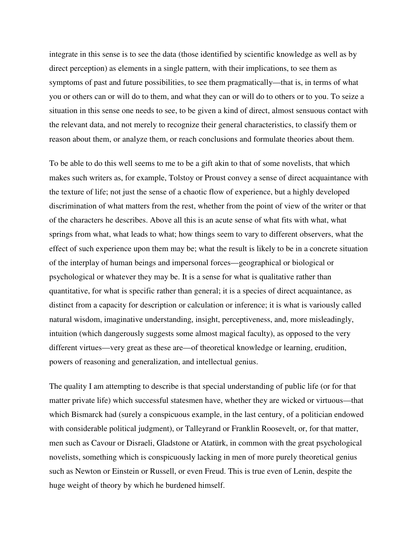integrate in this sense is to see the data (those identified by scientific knowledge as well as by direct perception) as elements in a single pattern, with their implications, to see them as symptoms of past and future possibilities, to see them pragmatically—that is, in terms of what you or others can or will do to them, and what they can or will do to others or to you. To seize a situation in this sense one needs to see, to be given a kind of direct, almost sensuous contact with the relevant data, and not merely to recognize their general characteristics, to classify them or reason about them, or analyze them, or reach conclusions and formulate theories about them.

To be able to do this well seems to me to be a gift akin to that of some novelists, that which makes such writers as, for example, Tolstoy or Proust convey a sense of direct acquaintance with the texture of life; not just the sense of a chaotic flow of experience, but a highly developed discrimination of what matters from the rest, whether from the point of view of the writer or that of the characters he describes. Above all this is an acute sense of what fits with what, what springs from what, what leads to what; how things seem to vary to different observers, what the effect of such experience upon them may be; what the result is likely to be in a concrete situation of the interplay of human beings and impersonal forces—geographical or biological or psychological or whatever they may be. It is a sense for what is qualitative rather than quantitative, for what is specific rather than general; it is a species of direct acquaintance, as distinct from a capacity for description or calculation or inference; it is what is variously called natural wisdom, imaginative understanding, insight, perceptiveness, and, more misleadingly, intuition (which dangerously suggests some almost magical faculty), as opposed to the very different virtues—very great as these are—of theoretical knowledge or learning, erudition, powers of reasoning and generalization, and intellectual genius.

The quality I am attempting to describe is that special understanding of public life (or for that matter private life) which successful statesmen have, whether they are wicked or virtuous—that which Bismarck had (surely a conspicuous example, in the last century, of a politician endowed with considerable political judgment), or Talleyrand or Franklin Roosevelt, or, for that matter, men such as Cavour or Disraeli, Gladstone or Atatürk, in common with the great psychological novelists, something which is conspicuously lacking in men of more purely theoretical genius such as Newton or Einstein or Russell, or even Freud. This is true even of Lenin, despite the huge weight of theory by which he burdened himself.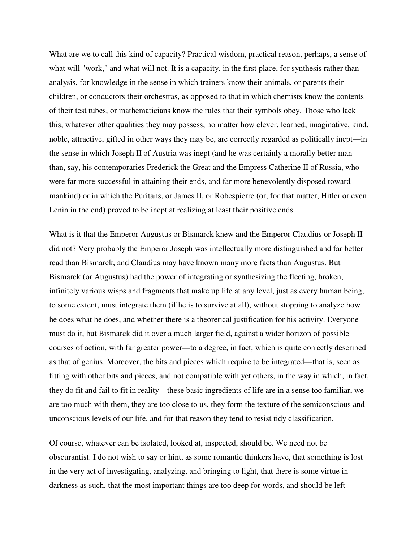What are we to call this kind of capacity? Practical wisdom, practical reason, perhaps, a sense of what will "work," and what will not. It is a capacity, in the first place, for synthesis rather than analysis, for knowledge in the sense in which trainers know their animals, or parents their children, or conductors their orchestras, as opposed to that in which chemists know the contents of their test tubes, or mathematicians know the rules that their symbols obey. Those who lack this, whatever other qualities they may possess, no matter how clever, learned, imaginative, kind, noble, attractive, gifted in other ways they may be, are correctly regarded as politically inept—in the sense in which Joseph II of Austria was inept (and he was certainly a morally better man than, say, his contemporaries Frederick the Great and the Empress Catherine II of Russia, who were far more successful in attaining their ends, and far more benevolently disposed toward mankind) or in which the Puritans, or James II, or Robespierre (or, for that matter, Hitler or even Lenin in the end) proved to be inept at realizing at least their positive ends.

What is it that the Emperor Augustus or Bismarck knew and the Emperor Claudius or Joseph II did not? Very probably the Emperor Joseph was intellectually more distinguished and far better read than Bismarck, and Claudius may have known many more facts than Augustus. But Bismarck (or Augustus) had the power of integrating or synthesizing the fleeting, broken, infinitely various wisps and fragments that make up life at any level, just as every human being, to some extent, must integrate them (if he is to survive at all), without stopping to analyze how he does what he does, and whether there is a theoretical justification for his activity. Everyone must do it, but Bismarck did it over a much larger field, against a wider horizon of possible courses of action, with far greater power—to a degree, in fact, which is quite correctly described as that of genius. Moreover, the bits and pieces which require to be integrated—that is, seen as fitting with other bits and pieces, and not compatible with yet others, in the way in which, in fact, they do fit and fail to fit in reality—these basic ingredients of life are in a sense too familiar, we are too much with them, they are too close to us, they form the texture of the semiconscious and unconscious levels of our life, and for that reason they tend to resist tidy classification.

Of course, whatever can be isolated, looked at, inspected, should be. We need not be obscurantist. I do not wish to say or hint, as some romantic thinkers have, that something is lost in the very act of investigating, analyzing, and bringing to light, that there is some virtue in darkness as such, that the most important things are too deep for words, and should be left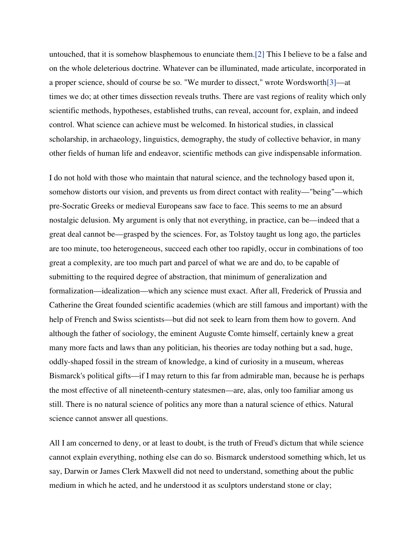untouched, that it is somehow blasphemous to enunciate them.[2] This I believe to be a false and on the whole deleterious doctrine. Whatever can be illuminated, made articulate, incorporated in a proper science, should of course be so. "We murder to dissect," wrote Wordsworth[3]—at times we do; at other times dissection reveals truths. There are vast regions of reality which only scientific methods, hypotheses, established truths, can reveal, account for, explain, and indeed control. What science can achieve must be welcomed. In historical studies, in classical scholarship, in archaeology, linguistics, demography, the study of collective behavior, in many other fields of human life and endeavor, scientific methods can give indispensable information.

I do not hold with those who maintain that natural science, and the technology based upon it, somehow distorts our vision, and prevents us from direct contact with reality—"being"—which pre-Socratic Greeks or medieval Europeans saw face to face. This seems to me an absurd nostalgic delusion. My argument is only that not everything, in practice, can be—indeed that a great deal cannot be—grasped by the sciences. For, as Tolstoy taught us long ago, the particles are too minute, too heterogeneous, succeed each other too rapidly, occur in combinations of too great a complexity, are too much part and parcel of what we are and do, to be capable of submitting to the required degree of abstraction, that minimum of generalization and formalization—idealization—which any science must exact. After all, Frederick of Prussia and Catherine the Great founded scientific academies (which are still famous and important) with the help of French and Swiss scientists—but did not seek to learn from them how to govern. And although the father of sociology, the eminent Auguste Comte himself, certainly knew a great many more facts and laws than any politician, his theories are today nothing but a sad, huge, oddly-shaped fossil in the stream of knowledge, a kind of curiosity in a museum, whereas Bismarck's political gifts—if I may return to this far from admirable man, because he is perhaps the most effective of all nineteenth-century statesmen—are, alas, only too familiar among us still. There is no natural science of politics any more than a natural science of ethics. Natural science cannot answer all questions.

All I am concerned to deny, or at least to doubt, is the truth of Freud's dictum that while science cannot explain everything, nothing else can do so. Bismarck understood something which, let us say, Darwin or James Clerk Maxwell did not need to understand, something about the public medium in which he acted, and he understood it as sculptors understand stone or clay;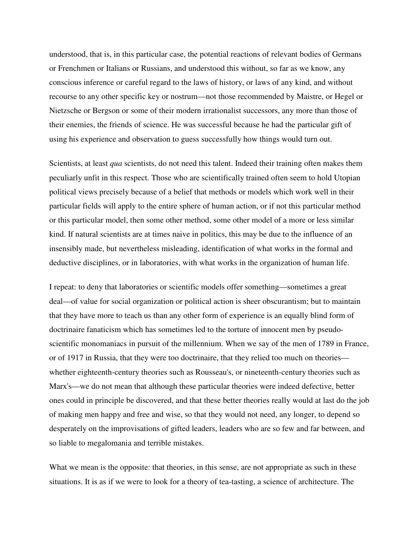understood, that is, in this particular case, the potential reactions of relevant bodies of Germans or Frenchmen or Italians or Russians, and understood this without, so far as we know, any conscious inference or careful regard to the laws of history, or laws of any kind, and without recourse to any other specific key or nostrum—not those recommended by Maistre, or Hegel or Nietzsche or Bergson or some of their modern irrationalist successors, any more than those of their enemies, the friends of science. He was successful because he had the particular gift of using his experience and observation to guess successfully how things would turn out.

Scientists, at least *qua* scientists, do not need this talent. Indeed their training often makes them peculiarly unfit in this respect. Those who are scientifically trained often seem to hold Utopian political views precisely because of a belief that methods or models which work well in their particular fields will apply to the entire sphere of human action, or if not this particular method or this particular model, then some other method, some other model of a more or less similar kind. If natural scientists are at times naive in politics, this may be due to the influence of an insensibly made, but nevertheless misleading, identification of what works in the formal and deductive disciplines, or in laboratories, with what works in the organization of human life.

I repeat: to deny that laboratories or scientific models offer something—sometimes a great deal—of value for social organization or political action is sheer obscurantism; but to maintain that they have more to teach us than any other form of experience is an equally blind form of doctrinaire fanaticism which has sometimes led to the torture of innocent men by pseudoscientific monomaniacs in pursuit of the millennium. When we say of the men of 1789 in France, or of 1917 in Russia, that they were too doctrinaire, that they relied too much on theories whether eighteenth-century theories such as Rousseau's, or nineteenth-century theories such as Marx's—we do not mean that although these particular theories were indeed defective, better ones could in principle be discovered, and that these better theories really would at last do the job of making men happy and free and wise, so that they would not need, any longer, to depend so desperately on the improvisations of gifted leaders, leaders who are so few and far between, and so liable to megalomania and terrible mistakes.

What we mean is the opposite: that theories, in this sense, are not appropriate as such in these situations. It is as if we were to look for a theory of tea-tasting, a science of architecture. The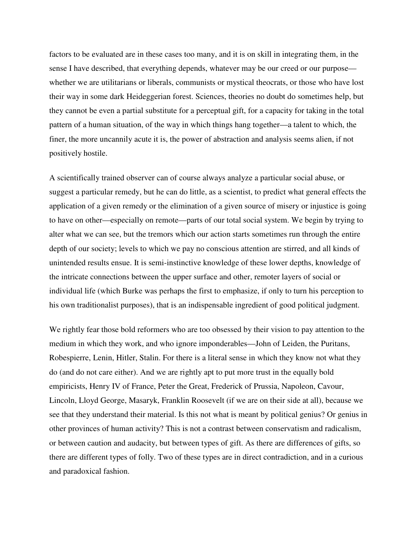factors to be evaluated are in these cases too many, and it is on skill in integrating them, in the sense I have described, that everything depends, whatever may be our creed or our purpose whether we are utilitarians or liberals, communists or mystical theocrats, or those who have lost their way in some dark Heideggerian forest. Sciences, theories no doubt do sometimes help, but they cannot be even a partial substitute for a perceptual gift, for a capacity for taking in the total pattern of a human situation, of the way in which things hang together—a talent to which, the finer, the more uncannily acute it is, the power of abstraction and analysis seems alien, if not positively hostile.

A scientifically trained observer can of course always analyze a particular social abuse, or suggest a particular remedy, but he can do little, as a scientist, to predict what general effects the application of a given remedy or the elimination of a given source of misery or injustice is going to have on other—especially on remote—parts of our total social system. We begin by trying to alter what we can see, but the tremors which our action starts sometimes run through the entire depth of our society; levels to which we pay no conscious attention are stirred, and all kinds of unintended results ensue. It is semi-instinctive knowledge of these lower depths, knowledge of the intricate connections between the upper surface and other, remoter layers of social or individual life (which Burke was perhaps the first to emphasize, if only to turn his perception to his own traditionalist purposes), that is an indispensable ingredient of good political judgment.

We rightly fear those bold reformers who are too obsessed by their vision to pay attention to the medium in which they work, and who ignore imponderables—John of Leiden, the Puritans, Robespierre, Lenin, Hitler, Stalin. For there is a literal sense in which they know not what they do (and do not care either). And we are rightly apt to put more trust in the equally bold empiricists, Henry IV of France, Peter the Great, Frederick of Prussia, Napoleon, Cavour, Lincoln, Lloyd George, Masaryk, Franklin Roosevelt (if we are on their side at all), because we see that they understand their material. Is this not what is meant by political genius? Or genius in other provinces of human activity? This is not a contrast between conservatism and radicalism, or between caution and audacity, but between types of gift. As there are differences of gifts, so there are different types of folly. Two of these types are in direct contradiction, and in a curious and paradoxical fashion.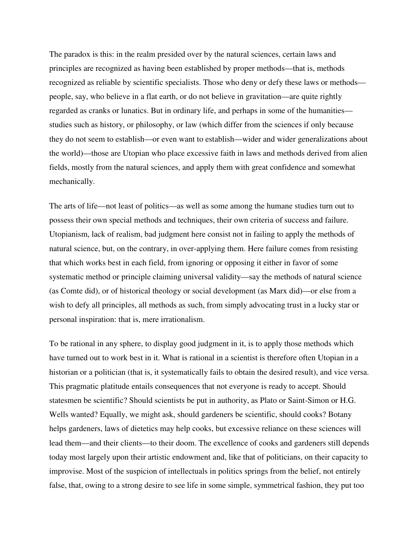The paradox is this: in the realm presided over by the natural sciences, certain laws and principles are recognized as having been established by proper methods—that is, methods recognized as reliable by scientific specialists. Those who deny or defy these laws or methods people, say, who believe in a flat earth, or do not believe in gravitation—are quite rightly regarded as cranks or lunatics. But in ordinary life, and perhaps in some of the humanities studies such as history, or philosophy, or law (which differ from the sciences if only because they do not seem to establish—or even want to establish—wider and wider generalizations about the world)—those are Utopian who place excessive faith in laws and methods derived from alien fields, mostly from the natural sciences, and apply them with great confidence and somewhat mechanically.

The arts of life—not least of politics—as well as some among the humane studies turn out to possess their own special methods and techniques, their own criteria of success and failure. Utopianism, lack of realism, bad judgment here consist not in failing to apply the methods of natural science, but, on the contrary, in over-applying them. Here failure comes from resisting that which works best in each field, from ignoring or opposing it either in favor of some systematic method or principle claiming universal validity—say the methods of natural science (as Comte did), or of historical theology or social development (as Marx did)—or else from a wish to defy all principles, all methods as such, from simply advocating trust in a lucky star or personal inspiration: that is, mere irrationalism.

To be rational in any sphere, to display good judgment in it, is to apply those methods which have turned out to work best in it. What is rational in a scientist is therefore often Utopian in a historian or a politician (that is, it systematically fails to obtain the desired result), and vice versa. This pragmatic platitude entails consequences that not everyone is ready to accept. Should statesmen be scientific? Should scientists be put in authority, as Plato or Saint-Simon or H.G. Wells wanted? Equally, we might ask, should gardeners be scientific, should cooks? Botany helps gardeners, laws of dietetics may help cooks, but excessive reliance on these sciences will lead them—and their clients—to their doom. The excellence of cooks and gardeners still depends today most largely upon their artistic endowment and, like that of politicians, on their capacity to improvise. Most of the suspicion of intellectuals in politics springs from the belief, not entirely false, that, owing to a strong desire to see life in some simple, symmetrical fashion, they put too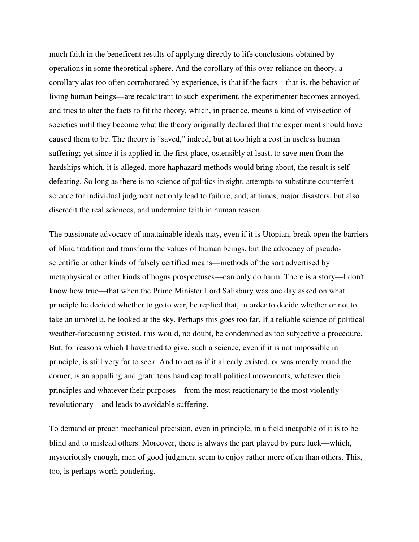much faith in the beneficent results of applying directly to life conclusions obtained by operations in some theoretical sphere. And the corollary of this over-reliance on theory, a corollary alas too often corroborated by experience, is that if the facts—that is, the behavior of living human beings—are recalcitrant to such experiment, the experimenter becomes annoyed, and tries to alter the facts to fit the theory, which, in practice, means a kind of vivisection of societies until they become what the theory originally declared that the experiment should have caused them to be. The theory is "saved," indeed, but at too high a cost in useless human suffering; yet since it is applied in the first place, ostensibly at least, to save men from the hardships which, it is alleged, more haphazard methods would bring about, the result is selfdefeating. So long as there is no science of politics in sight, attempts to substitute counterfeit science for individual judgment not only lead to failure, and, at times, major disasters, but also discredit the real sciences, and undermine faith in human reason.

The passionate advocacy of unattainable ideals may, even if it is Utopian, break open the barriers of blind tradition and transform the values of human beings, but the advocacy of pseudoscientific or other kinds of falsely certified means—methods of the sort advertised by metaphysical or other kinds of bogus prospectuses—can only do harm. There is a story—I don't know how true—that when the Prime Minister Lord Salisbury was one day asked on what principle he decided whether to go to war, he replied that, in order to decide whether or not to take an umbrella, he looked at the sky. Perhaps this goes too far. If a reliable science of political weather-forecasting existed, this would, no doubt, be condemned as too subjective a procedure. But, for reasons which I have tried to give, such a science, even if it is not impossible in principle, is still very far to seek. And to act as if it already existed, or was merely round the corner, is an appalling and gratuitous handicap to all political movements, whatever their principles and whatever their purposes—from the most reactionary to the most violently revolutionary—and leads to avoidable suffering.

To demand or preach mechanical precision, even in principle, in a field incapable of it is to be blind and to mislead others. Moreover, there is always the part played by pure luck—which, mysteriously enough, men of good judgment seem to enjoy rather more often than others. This, too, is perhaps worth pondering.